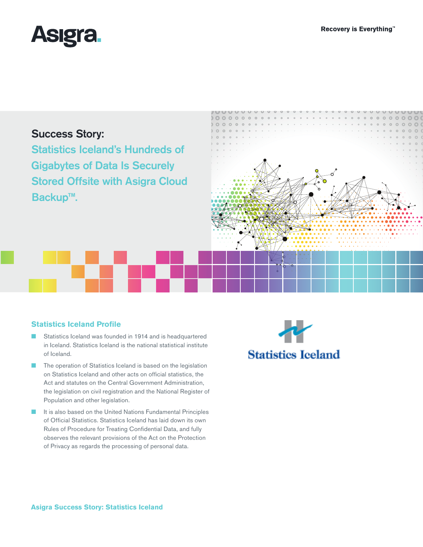

# Success Story:

Statistics Iceland's Hundreds of Gigabytes of Data Is Securely Stored Offsite with Asigra Cloud Backup™.



### **Statistics Iceland Profile**

- Statistics Iceland was founded in 1914 and is headquartered in Iceland. Statistics Iceland is the national statistical institute of Iceland.
- The operation of Statistics Iceland is based on the legislation on Statistics Iceland and other acts on official statistics, the Act and statutes on the Central Government Administration, the legislation on civil registration and the National Register of Population and other legislation.
- It is also based on the United Nations Fundamental Principles of Official Statistics. Statistics Iceland has laid down its own Rules of Procedure for Treating Confidential Data, and fully observes the relevant provisions of the Act on the Protection of Privacy as regards the processing of personal data.

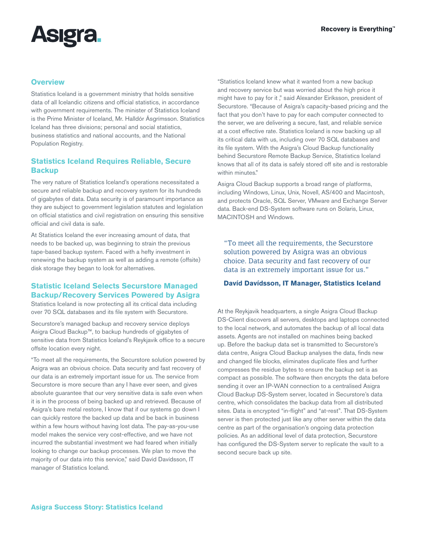# **Asigra**

#### **Overview**

Statistics Iceland is a government ministry that holds sensitive data of all Icelandic citizens and official statistics, in accordance with government requirements. The minister of Statistics Iceland is the Prime Minister of Iceland, Mr. Halldór Ásgrímsson. Statistics Iceland has three divisions; personal and social statistics, business statistics and national accounts, and the National Population Registry.

# **Statistics Iceland Requires Reliable, Secure Backup**

The very nature of Statistics Iceland's operations necessitated a secure and reliable backup and recovery system for its hundreds of gigabytes of data. Data security is of paramount importance as they are subject to government legislation statutes and legislation on official statistics and civil registration on ensuring this sensitive official and civil data is safe.

At Statistics Iceland the ever increasing amount of data, that needs to be backed up, was beginning to strain the previous tape-based backup system. Faced with a hefty investment in renewing the backup system as well as adding a remote (offsite) disk storage they began to look for alternatives.

# **Statistic Iceland Selects Securstore Managed Backup/Recovery Services Powered by Asigra**

Statistics Iceland is now protecting all its critical data including over 70 SQL databases and its file system with Securstore.

Securstore's managed backup and recovery service deploys Asigra Cloud Backup™, to backup hundreds of gigabytes of sensitive data from Statistics Iceland's Reykjavik office to a secure offsite location every night.

"To meet all the requirements, the Securstore solution powered by Asigra was an obvious choice. Data security and fast recovery of our data is an extremely important issue for us. The service from Securstore is more secure than any I have ever seen, and gives absolute guarantee that our very sensitive data is safe even when it is in the process of being backed up and retrieved. Because of Asigra's bare metal restore, I know that if our systems go down I can quickly restore the backed up data and be back in business within a few hours without having lost data. The pay-as-you-use model makes the service very cost-effective, and we have not incurred the substantial investment we had feared when initially looking to change our backup processes. We plan to move the majority of our data into this service," said Davíd Davídsson, IT manager of Statistics Iceland.

"Statistics Iceland knew what it wanted from a new backup and recovery service but was worried about the high price it might have to pay for it ," said Alexander Eiríksson, president of Securstore. "Because of Asigra's capacity-based pricing and the fact that you don't have to pay for each computer connected to the server, we are delivering a secure, fast, and reliable service at a cost effective rate. Statistics Iceland is now backing up all its critical data with us, including over 70 SQL databases and its file system. With the Asigra's Cloud Backup functionality behind Securstore Remote Backup Service, Statistics Iceland knows that all of its data is safely stored off site and is restorable within minutes."

Asigra Cloud Backup supports a broad range of platforms, including Windows, Linux, Unix, Novell, AS/400 and Macintosh, and protects Oracle, SQL Server, VMware and Exchange Server data. Back-end DS-System software runs on Solaris, Linux, MACINTOSH and Windows.

"To meet all the requirements, the Securstore solution powered by Asigra was an obvious choice. Data security and fast recovery of our data is an extremely important issue for us."

#### **Davíd Davídsson, IT Manager, Statistics Iceland**

At the Reykjavik headquarters, a single Asigra Cloud Backup DS-Client discovers all servers, desktops and laptops connected to the local network, and automates the backup of all local data assets. Agents are not installed on machines being backed up. Before the backup data set is transmitted to Securstore's data centre, Asigra Cloud Backup analyses the data, finds new and changed file blocks, eliminates duplicate files and further compresses the residue bytes to ensure the backup set is as compact as possible. The software then encrypts the data before sending it over an IP-WAN connection to a centralised Asigra Cloud Backup DS-System server, located in Securstore's data centre, which consolidates the backup data from all distributed sites. Data is encrypted "in-flight" and "at-rest". That DS-System server is then protected just like any other server within the data centre as part of the organisation's ongoing data protection policies. As an additional level of data protection, Securstore has configured the DS-System server to replicate the vault to a second secure back up site.